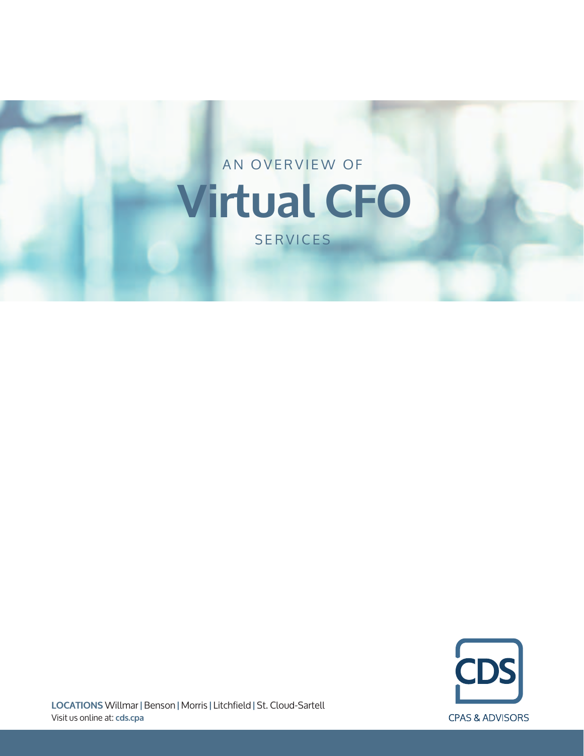



**LOCATIONS** Willmar **|** Benson **|** Morris **|** Litchfield **|** St. Cloud-Sartell Visit us online at: **cds.cpa**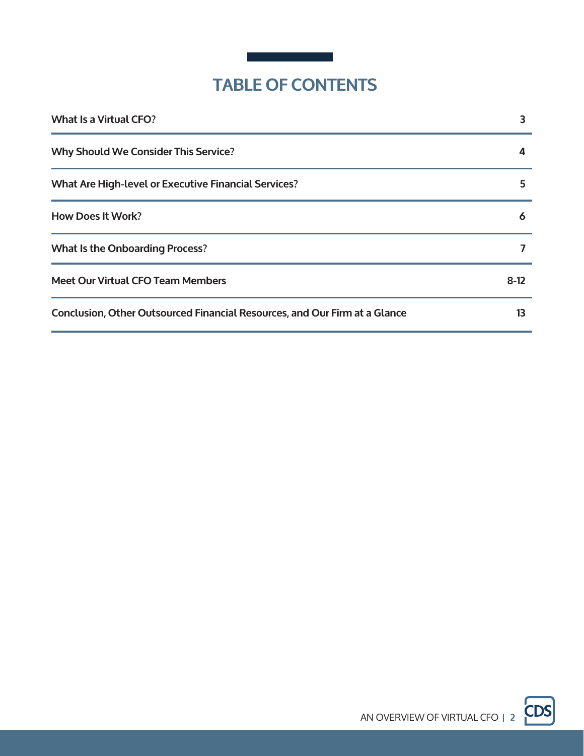

# **TABLE OF CONTENTS**

| <b>What Is a Virtual CFO?</b>                                              | 3      |
|----------------------------------------------------------------------------|--------|
| <b>Why Should We Consider This Service?</b>                                | 4      |
| <b>What Are High-level or Executive Financial Services?</b>                | 5      |
| <b>How Does It Work?</b>                                                   | 6      |
| <b>What Is the Onboarding Process?</b>                                     |        |
| <b>Meet Our Virtual CFO Team Members</b>                                   | $8-12$ |
| Conclusion, Other Outsourced Financial Resources, and Our Firm at a Glance | 13     |

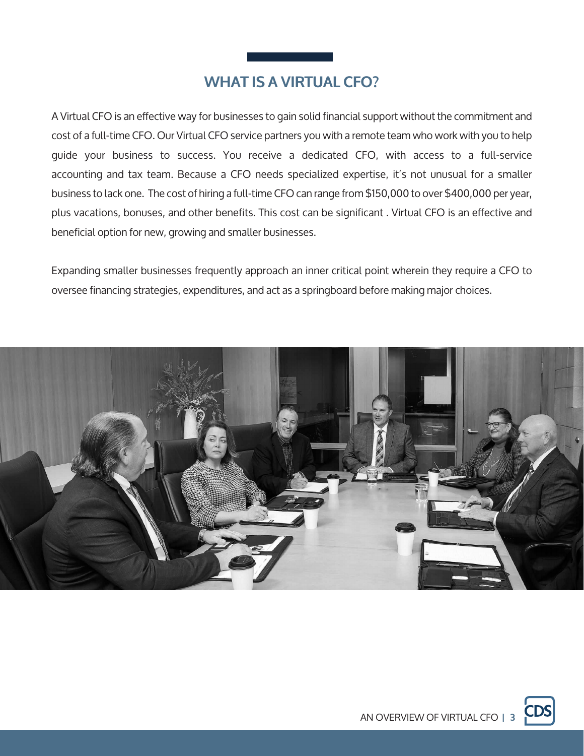# **WHAT IS A VIRTUAL CFO?**

A Virtual CFO is an effective way for businesses to gain solid financial support without the commitment and cost of a full-time CFO. Our Virtual CFO service partners you with a remote team who work with you to help guide your business to success. You receive a dedicated CFO, with access to a full-service accounting and tax team. Because a CFO needs specialized expertise, it's not unusual for a smaller business to lack one. The cost of hiring a full-time CFO can range from \$150,000 to over \$400,000 per year, plus vacations, bonuses, and other benefits. This cost can be significant . Virtual CFO is an effective and beneficial option for new, growing and smaller businesses.

Expanding smaller businesses frequently approach an inner critical point wherein they require a CFO to oversee financing strategies, expenditures, and act as a springboard before making major choices.



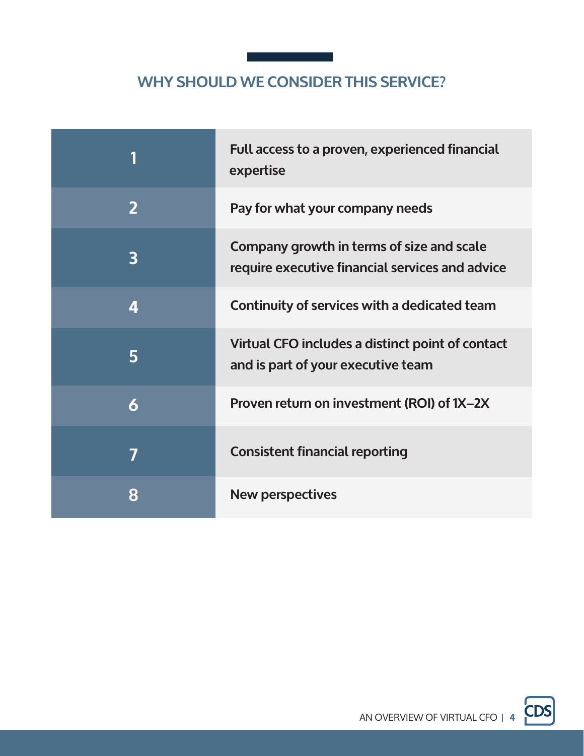# **WHY SHOULD WE CONSIDER THIS SERVICE?**

| 1                       | Full access to a proven, experienced financial<br>expertise                                  |
|-------------------------|----------------------------------------------------------------------------------------------|
| $\overline{2}$          | Pay for what your company needs                                                              |
| $\overline{\mathbf{3}}$ | Company growth in terms of size and scale<br>require executive financial services and advice |
| 4                       | Continuity of services with a dedicated team                                                 |
| 5                       | Virtual CFO includes a distinct point of contact<br>and is part of your executive team       |
| 6                       | Proven return on investment (ROI) of 1X-2X                                                   |
| 7                       | <b>Consistent financial reporting</b>                                                        |
| 8                       | <b>New perspectives</b>                                                                      |

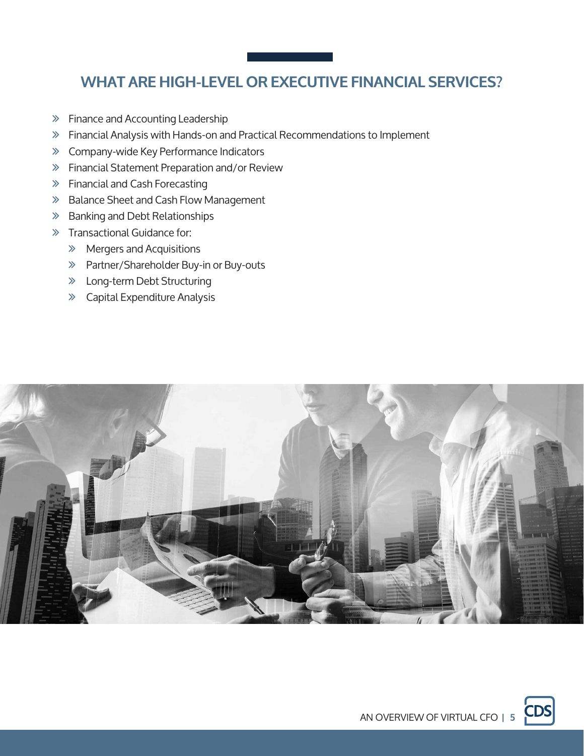# **WHAT ARE HIGH-LEVEL OR EXECUTIVE FINANCIAL SERVICES?**

- ∠ Finance and Accounting Leadership
- ∠ Financial Analysis with Hands-on and Practical Recommendations to Implement
- ∠ Company-wide Key Performance Indicators
- ∠ Financial Statement Preparation and/or Review
- ∠ Financial and Cash Forecasting
- ∠ Balance Sheet and Cash Flow Management
- ∠ Banking and Debt Relationships
- ∠ Transactional Guidance for:
	- ∠ Mergers and Acquisitions
	- ∠ Partner/Shareholder Buy-in or Buy-outs
	- ∠ Long-term Debt Structuring
	- ∠ Capital Expenditure Analysis



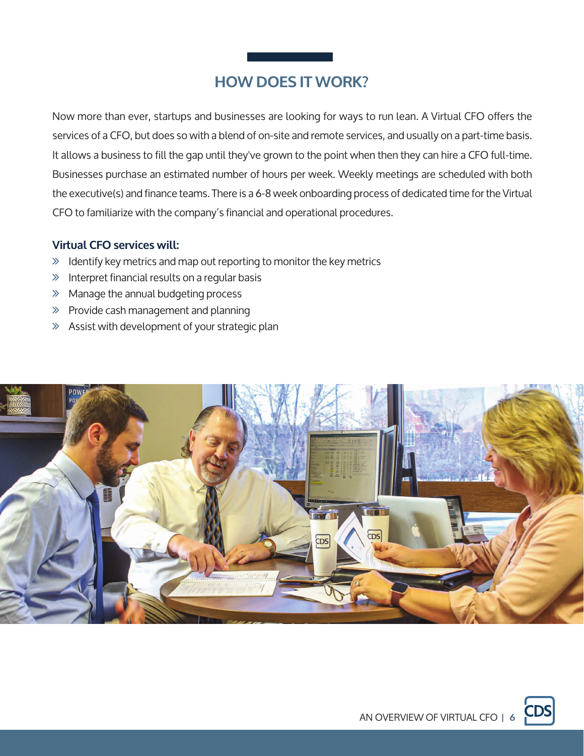# **HOW DOES IT WORK?**

Now more than ever, startups and businesses are looking for ways to run lean. A Virtual CFO offers the services of a CFO, but does so with a blend of on-site and remote services, and usually on a part-time basis. It allows a business to fill the gap until they've grown to the point when then they can hire a CFO full-time. Businesses purchase an estimated number of hours per week. Weekly meetings are scheduled with both the executive(s) and finance teams. There is a 6-8 week onboarding process of dedicated time for the Virtual CFO to familiarize with the company's financial and operational procedures.

### **Virtual CFO services will:**

- ∠ Identify key metrics and map out reporting to monitor the key metrics
- ∠ Interpret financial results on a regular basis
- ∠ Manage the annual budgeting process
- ∠ Provide cash management and planning
- ∠ Assist with development of your strategic plan



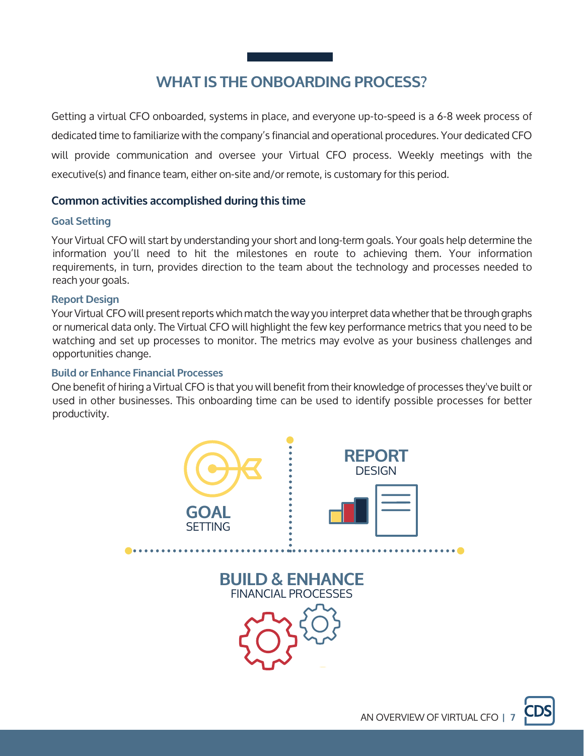# **WHAT IS THE ONBOARDING PROCESS?**

Getting a virtual CFO onboarded, systems in place, and everyone up-to-speed is a 6-8 week process of dedicated time to familiarize with the company's financial and operational procedures. Your dedicated CFO will provide communication and oversee your Virtual CFO process. Weekly meetings with the executive(s) and finance team, either on-site and/or remote, is customary for this period.

### **Common activities accomplished during this time**

#### **Goal Setting**

Your Virtual CFO will start by understanding your short and long-term goals. Your goals help determine the information you'll need to hit the milestones en route to achieving them. Your information requirements, in turn, provides direction to the team about the technology and processes needed to reach your goals.

#### **Report Design**

Your Virtual CFO will present reports which match the way you interpret data whether that be through graphs or numerical data only. The Virtual CFO will highlight the few key performance metrics that you need to be watching and set up processes to monitor. The metrics may evolve as your business challenges and opportunities change.

#### **Build or Enhance Financial Processes**

One benefit of hiring a Virtual CFO is that you will benefit from their knowledge of processes they've built or used in other businesses. This onboarding time can be used to identify possible processes for better productivity.

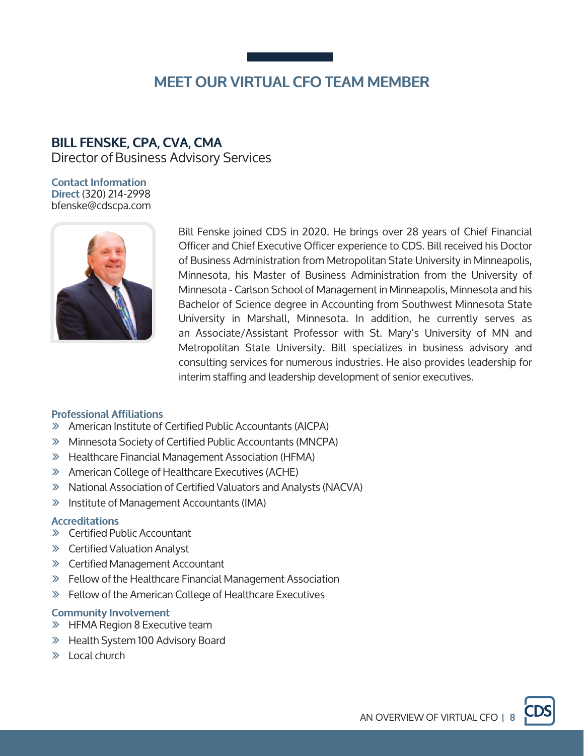### **BILL FENSKE, CPA, CVA, CMA**

Director of Business Advisory Services

**Contact Information Direct** (320) 214-2998 bfenske@cdscpa.com



Bill Fenske joined CDS in 2020. He brings over 28 years of Chief Financial Officer and Chief Executive Officer experience to CDS. Bill received his Doctor of Business Administration from Metropolitan State University in Minneapolis, Minnesota, his Master of Business Administration from the University of Minnesota - Carlson School of Management in Minneapolis, Minnesota and his Bachelor of Science degree in Accounting from Southwest Minnesota State University in Marshall, Minnesota. In addition, he currently serves as an Associate/Assistant Professor with St. Mary's University of MN and Metropolitan State University. Bill specializes in business advisory and consulting services for numerous industries. He also provides leadership for interim staffing and leadership development of senior executives.

### **Professional Affiliations**

- ∠ American Institute of Certified Public Accountants (AICPA)
- ∠ Minnesota Society of Certified Public Accountants (MNCPA)
- ∠ Healthcare Financial Management Association (HFMA)
- ∠ American College of Healthcare Executives (ACHE)
- ∠ National Association of Certified Valuators and Analysts (NACVA)
- ∠ Institute of Management Accountants (IMA)

#### **Accreditations**

- ∠ Certified Public Accountant
- ∠ Certified Valuation Analyst
- ∠ Certified Management Accountant
- ∠ Fellow of the Healthcare Financial Management Association
- ∠ Fellow of the American College of Healthcare Executives

### **Community Involvement**

- ∠ HFMA Region 8 Executive team
- ∠ Health System 100 Advisory Board
- ∠ Local church

AN OVERVIEW OF VIRTUAL CFO **| 8**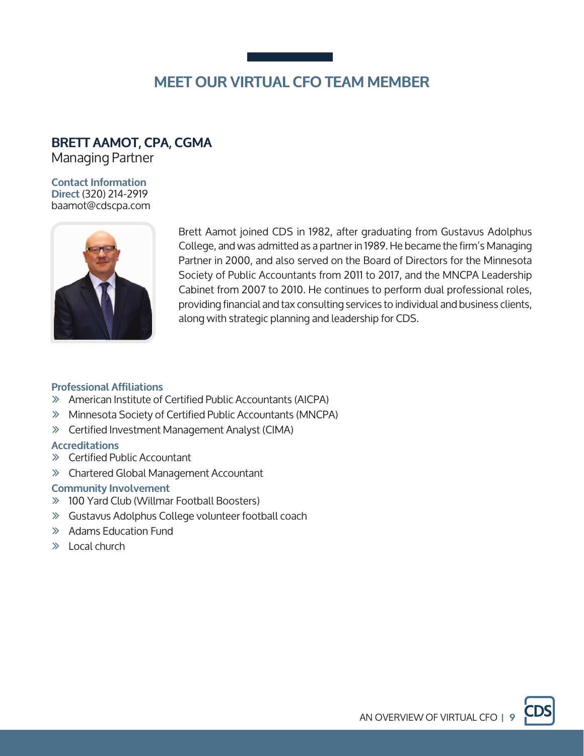### **BRETT AAMOT, CPA, CGMA**

Managing Partner

#### **Contact Information Direct** (320) 214-2919 baamot@cdscpa.com



Brett Aamot joined CDS in 1982, after graduating from Gustavus Adolphus College, and was admitted as a partner in 1989. He became the firm's Managing Partner in 2000, and also served on the Board of Directors for the Minnesota Society of Public Accountants from 2011 to 2017, and the MNCPA Leadership Cabinet from 2007 to 2010. He continues to perform dual professional roles, providing financial and tax consulting services to individual and business clients, along with strategic planning and leadership for CDS.

### **Professional Affiliations**

- ∠ American Institute of Certified Public Accountants (AICPA)
- ∠ Minnesota Society of Certified Public Accountants (MNCPA)
- ∠ Certified Investment Management Analyst (CIMA)

### **Accreditations**

- ∠ Certified Public Accountant
- ∠ Chartered Global Management Accountant

#### **Community Involvement**

- ∠ 100 Yard Club (Willmar Football Boosters)
- ∠ Gustavus Adolphus College volunteer football coach
- ∠ Adams Education Fund
- ∠ Local church

AN OVERVIEW OF VIRTUAL CFO **| 9**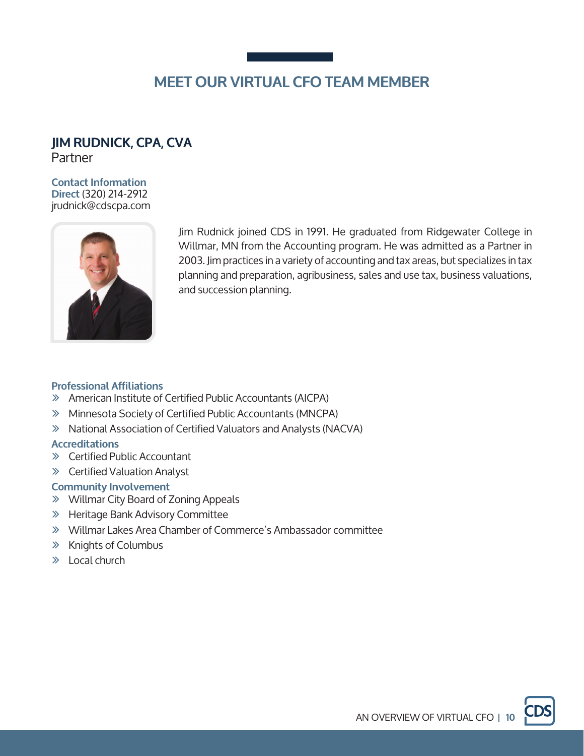# **JIM RUDNICK, CPA, CVA**

Partner

#### **Contact Information Direct** (320) 214-2912 jrudnick@cdscpa.com



Jim Rudnick joined CDS in 1991. He graduated from Ridgewater College in Willmar, MN from the Accounting program. He was admitted as a Partner in 2003. Jim practices in a variety of accounting and tax areas, but specializes in tax planning and preparation, agribusiness, sales and use tax, business valuations, and succession planning.

### **Professional Affiliations**

- ∠ American Institute of Certified Public Accountants (AICPA)
- ∠ Minnesota Society of Certified Public Accountants (MNCPA)
- ∠ National Association of Certified Valuators and Analysts (NACVA)

### **Accreditations**

- ∠ Certified Public Accountant
- ∠ Certified Valuation Analyst

### **Community Involvement**

- ∠ Willmar City Board of Zoning Appeals
- ∠ Heritage Bank Advisory Committee
- ∠ Willmar Lakes Area Chamber of Commerce's Ambassador committee
- ∠ Knights of Columbus
- ∠ Local church

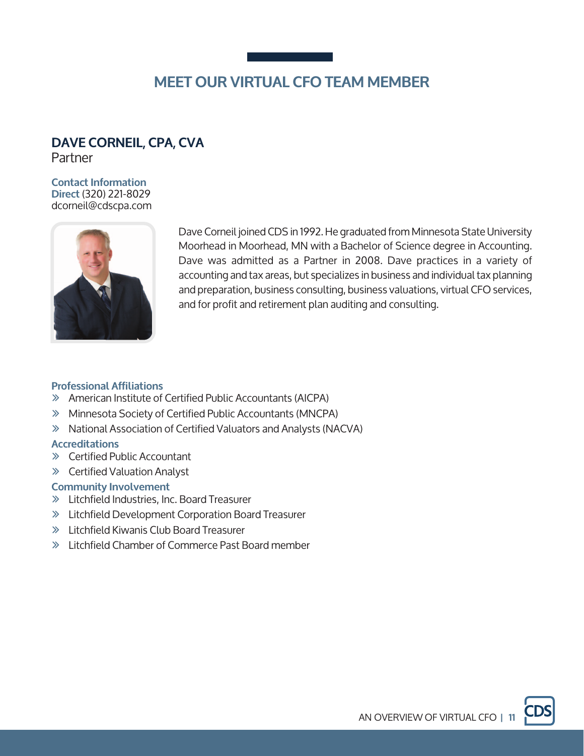# **DAVE CORNEIL, CPA, CVA**

Partner

#### **Contact Information Direct** (320) 221-8029 dcorneil@cdscpa.com



Dave Corneil joined CDS in 1992. He graduated from Minnesota State University Moorhead in Moorhead, MN with a Bachelor of Science degree in Accounting. Dave was admitted as a Partner in 2008. Dave practices in a variety of accounting and tax areas, but specializes in business and individual tax planning and preparation, business consulting, business valuations, virtual CFO services, and for profit and retirement plan auditing and consulting.

### **Professional Affiliations**

- ∠ American Institute of Certified Public Accountants (AICPA)
- ∠ Minnesota Society of Certified Public Accountants (MNCPA)
- ∠ National Association of Certified Valuators and Analysts (NACVA)

#### **Accreditations**

- ∠ Certified Public Accountant
- ∠ Certified Valuation Analyst

#### **Community Involvement**

- ∠ Litchfield Industries, Inc. Board Treasurer
- ∠ Litchfield Development Corporation Board Treasurer
- ∠ Litchfield Kiwanis Club Board Treasurer
- ∠ Litchfield Chamber of Commerce Past Board member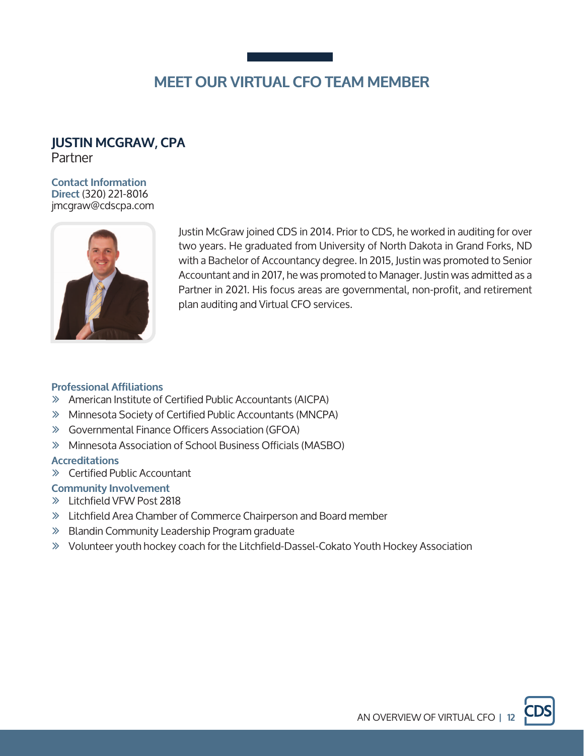### **JUSTIN MCGRAW, CPA**  Partner

#### **Contact Information Direct** (320) 221-8016 jmcgraw@cdscpa.com



Justin McGraw joined CDS in 2014. Prior to CDS, he worked in auditing for over two years. He graduated from University of North Dakota in Grand Forks, ND with a Bachelor of Accountancy degree. In 2015, Justin was promoted to Senior Accountant and in 2017, he was promoted to Manager. Justin was admitted as a Partner in 2021. His focus areas are governmental, non-profit, and retirement plan auditing and Virtual CFO services.

#### **Professional Affiliations**

- ∠ American Institute of Certified Public Accountants (AICPA)
- ∠ Minnesota Society of Certified Public Accountants (MNCPA)
- ∠ Governmental Finance Officers Association (GFOA)
- ∠ Minnesota Association of School Business Officials (MASBO)

#### **Accreditations**

∠ Certified Public Accountant

### **Community Involvement**

- ∠ Litchfield VFW Post 2818
- ∠ Litchfield Area Chamber of Commerce Chairperson and Board member
- ∠ Blandin Community Leadership Program graduate
- ∠ Volunteer youth hockey coach for the Litchfield-Dassel-Cokato Youth Hockey Association